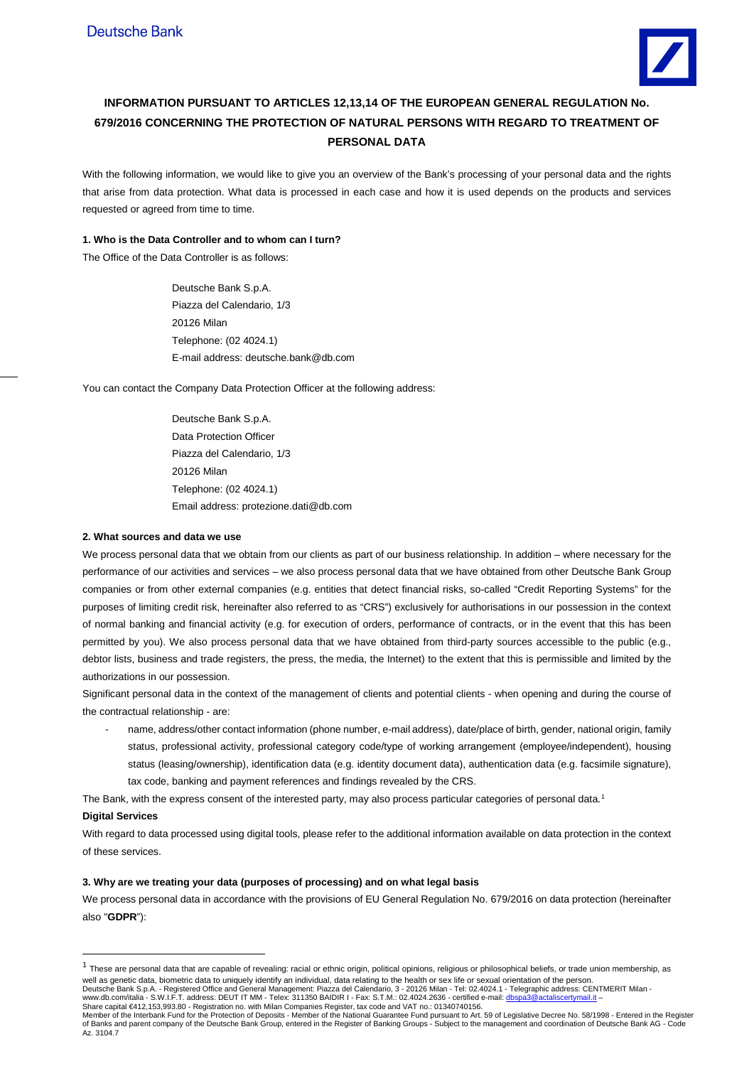

# **INFORMATION PURSUANT TO ARTICLES 12,13,14 OF THE EUROPEAN GENERAL REGULATION No. 679/2016 CONCERNING THE PROTECTION OF NATURAL PERSONS WITH REGARD TO TREATMENT OF PERSONAL DATA**

With the following information, we would like to give you an overview of the Bank's processing of your personal data and the rights that arise from data protection. What data is processed in each case and how it is used depends on the products and services requested or agreed from time to time.

# **1. Who is the Data Controller and to whom can I turn?**

The Office of the Data Controller is as follows:

Deutsche Bank S.p.A. Piazza del Calendario, 1/3 20126 Milan Telephone: (02 4024.1) E-mail address: deutsche.bank@db.com

You can contact the Company Data Protection Officer at the following address:

Deutsche Bank S.p.A. Data Protection Officer Piazza del Calendario, 1/3 20126 Milan Telephone: (02 4024.1) Email address: protezione.dati@db.com

## **2. What sources and data we use**

We process personal data that we obtain from our clients as part of our business relationship. In addition – where necessary for the performance of our activities and services – we also process personal data that we have obtained from other Deutsche Bank Group companies or from other external companies (e.g. entities that detect financial risks, so-called "Credit Reporting Systems" for the purposes of limiting credit risk, hereinafter also referred to as "CRS") exclusively for authorisations in our possession in the context of normal banking and financial activity (e.g. for execution of orders, performance of contracts, or in the event that this has been permitted by you). We also process personal data that we have obtained from third-party sources accessible to the public (e.g., debtor lists, business and trade registers, the press, the media, the Internet) to the extent that this is permissible and limited by the authorizations in our possession.

Significant personal data in the context of the management of clients and potential clients - when opening and during the course of the contractual relationship - are:

name, address/other contact information (phone number, e-mail address), date/place of birth, gender, national origin, family status, professional activity, professional category code/type of working arrangement (employee/independent), housing status (leasing/ownership), identification data (e.g. identity document data), authentication data (e.g. facsimile signature), tax code, banking and payment references and findings revealed by the CRS.

The Bank, with the express consent of the interested party, may also process particular categories of personal data.<sup>[1](#page-0-0)</sup>

# **Digital Services**

-

With regard to data processed using digital tools, please refer to the additional information available on data protection in the context of these services.

## **3. Why are we treating your data (purposes of processing) and on what legal basis**

We process personal data in accordance with the provisions of EU General Regulation No. 679/2016 on data protection (hereinafter also "**GDPR**"):

<span id="page-0-0"></span> $1$  These are personal data that are capable of revealing: racial or ethnic origin, political opinions, religious or philosophical beliefs, or trade union membership, as well as genetic data, biometric data to uniquely identify an individual, data relating to the health or sex life or sexual orientation of the person.

Deutsche Bank S.p.A. - Registered Office and General Management: Piazza del Calendario, 3 - 20126 Milan - Tel: 02.4024.1 - Telegraphic address: CENTMERIT Milan -<br>www.db.com/italia - S.W.I.F.T. address: DEUT IT MM - Telex:

Member of the Interbank Fund for the Protection of Deposits - Member of the National Guarantee Fund pursuant to Art. 59 of Legislative Decree No. 58/1998 - Entered in the Register<br>of Banks and parent company of the Deutsch Az. 3104.7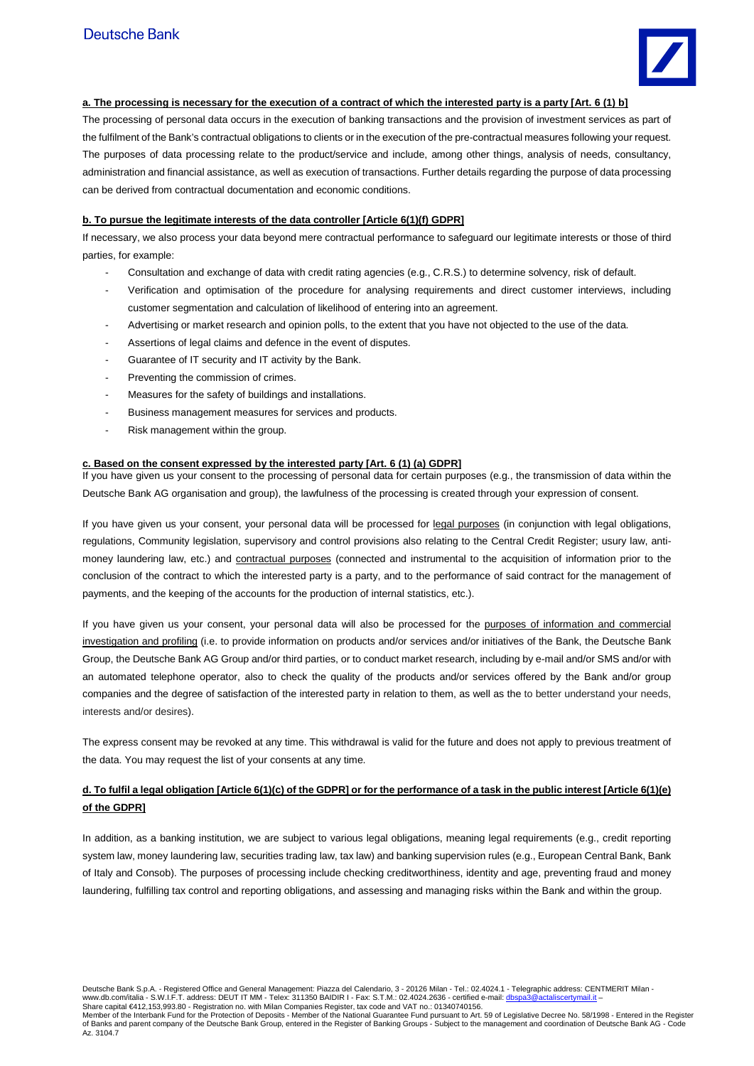

# **a. The processing is necessary for the execution of a contract of which the interested party is a party [Art. 6 (1) b]**

The processing of personal data occurs in the execution of banking transactions and the provision of investment services as part of the fulfilment of the Bank's contractual obligations to clients or in the execution of the pre-contractual measures following your request. The purposes of data processing relate to the product/service and include, among other things, analysis of needs, consultancy, administration and financial assistance, as well as execution of transactions. Further details regarding the purpose of data processing can be derived from contractual documentation and economic conditions.

# **b. To pursue the legitimate interests of the data controller [Article 6(1)(f) GDPR]**

If necessary, we also process your data beyond mere contractual performance to safeguard our legitimate interests or those of third parties, for example:

- Consultation and exchange of data with credit rating agencies (e.g., C.R.S.) to determine solvency, risk of default.
- Verification and optimisation of the procedure for analysing requirements and direct customer interviews, including customer segmentation and calculation of likelihood of entering into an agreement.
- Advertising or market research and opinion polls, to the extent that you have not objected to the use of the data.
- Assertions of legal claims and defence in the event of disputes.
- Guarantee of IT security and IT activity by the Bank.
- Preventing the commission of crimes.
- Measures for the safety of buildings and installations.
- Business management measures for services and products.
- Risk management within the group.

# **c. Based on the consent expressed by the interested party [Art. 6 (1) (a) GDPR]**

If you have given us your consent to the processing of personal data for certain purposes (e.g., the transmission of data within the Deutsche Bank AG organisation and group), the lawfulness of the processing is created through your expression of consent.

If you have given us your consent, your personal data will be processed for legal purposes (in conjunction with legal obligations, regulations, Community legislation, supervisory and control provisions also relating to the Central Credit Register; usury law, antimoney laundering law, etc.) and contractual purposes (connected and instrumental to the acquisition of information prior to the conclusion of the contract to which the interested party is a party, and to the performance of said contract for the management of payments, and the keeping of the accounts for the production of internal statistics, etc.).

If you have given us your consent, your personal data will also be processed for the purposes of information and commercial investigation and profiling (i.e. to provide information on products and/or services and/or initiatives of the Bank, the Deutsche Bank Group, the Deutsche Bank AG Group and/or third parties, or to conduct market research, including by e-mail and/or SMS and/or with an automated telephone operator, also to check the quality of the products and/or services offered by the Bank and/or group companies and the degree of satisfaction of the interested party in relation to them, as well as the to better understand your needs, interests and/or desires).

The express consent may be revoked at any time. This withdrawal is valid for the future and does not apply to previous treatment of the data. You may request the list of your consents at any time.

# **d. To fulfil a legal obligation [Article 6(1)(c) of the GDPR] or for the performance of a task in the public interest [Article 6(1)(e) of the GDPR]**

In addition, as a banking institution, we are subject to various legal obligations, meaning legal requirements (e.g., credit reporting system law, money laundering law, securities trading law, tax law) and banking supervision rules (e.g., European Central Bank, Bank of Italy and Consob). The purposes of processing include checking creditworthiness, identity and age, preventing fraud and money laundering, fulfilling tax control and reporting obligations, and assessing and managing risks within the Bank and within the group.

Deutsche Bank S.p.A. - Registered Office and General Management: Piazza del Calendario, 3 - 20126 Milan - Tel.: 02.4024.1 - Telegraphic address: CENTMERIT Milan -

www.db.com/italia - S.W.I.F.T. address: DEUT IT MM - Telex: 311350 BAIDIR I - Fax: S.T.M.: 02.4024.2636 - certified e-mail: <u>dbspa3@actaliscertymail.it</u> –<br>Share capital €412,153,993.80 - Registration no. with Milan Compan

Member of the Interbank Fund for the Protection of Deposits - Member of the National Guarantee Fund pursuant to Art. 59 of Legislative Decree No. 58/1998 - Entered in the Register<br>of Banks and parent company of the Deutsch Az. 3104.7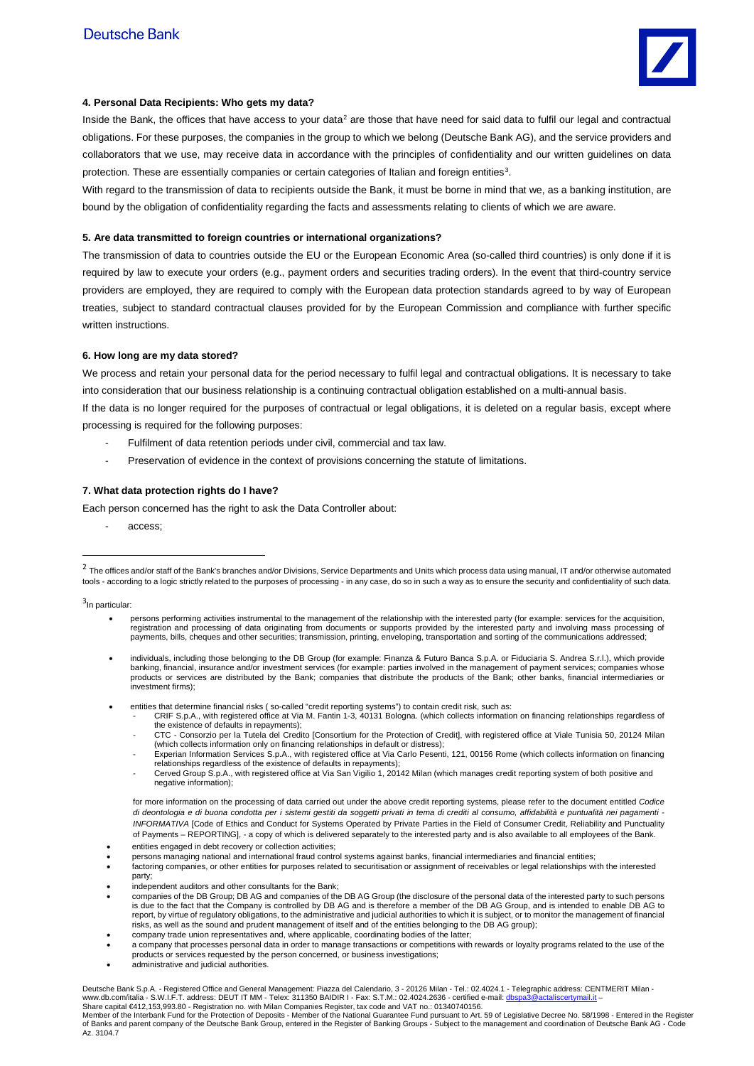

# **4. Personal Data Recipients: Who gets my data?**

Inside the Bank, the offices that have access to your data<sup>[2](#page-2-0)</sup> are those that have need for said data to fulfil our legal and contractual obligations. For these purposes, the companies in the group to which we belong (Deutsche Bank AG), and the service providers and collaborators that we use, may receive data in accordance with the principles of confidentiality and our written guidelines on data protection. These are essentially companies or certain categories of Italian and foreign entities<sup>[3](#page-2-1)</sup>.

With regard to the transmission of data to recipients outside the Bank, it must be borne in mind that we, as a banking institution, are bound by the obligation of confidentiality regarding the facts and assessments relating to clients of which we are aware.

#### **5. Are data transmitted to foreign countries or international organizations?**

The transmission of data to countries outside the EU or the European Economic Area (so-called third countries) is only done if it is required by law to execute your orders (e.g., payment orders and securities trading orders). In the event that third-country service providers are employed, they are required to comply with the European data protection standards agreed to by way of European treaties, subject to standard contractual clauses provided for by the European Commission and compliance with further specific written instructions.

### **6. How long are my data stored?**

We process and retain your personal data for the period necessary to fulfil legal and contractual obligations. It is necessary to take into consideration that our business relationship is a continuing contractual obligation established on a multi-annual basis.

If the data is no longer required for the purposes of contractual or legal obligations, it is deleted on a regular basis, except where processing is required for the following purposes:

- Fulfilment of data retention periods under civil, commercial and tax law.
- Preservation of evidence in the context of provisions concerning the statute of limitations.

# **7. What data protection rights do I have?**

Each person concerned has the right to ask the Data Controller about:

- access;

<span id="page-2-1"></span><sup>3</sup>In particular:

-

- persons performing activities instrumental to the management of the relationship with the interested party (for example: services for the acquisition, registration and processing of data originating from documents or supports provided by the interested party and involving mass processing of payments, bills, cheques and other securities; transmission, printing, enveloping, transportation and sorting of the communications addressed;
- individuals, including those belonging to the DB Group (for example: Finanza & Futuro Banca S.p.A. or Fiduciaria S. Andrea S.r.l.), which provide banking, financial, insurance and/or investment services (for example: parties involved in the management of payment services; companies whose products or services are distributed by the Bank; companies that distribute the products of the Bank; other banks, financial intermediaries or investment firms);
- entities that determine financial risks (so-called "credit reporting systems") to contain credit risk, such as:
	- CRIF S.p.A., with registered office at Via M. Fantin 1-3, 40131 Bologna. (which collects information on financing relationships regardless of the existence of defaults in repayments);
	- CTC Consorzio per la Tutela del Credito [Consortium for the Protection of Credit], with registered office at Viale Tunisia 50, 20124 Milan which collects information only on financing relationships in default or distress);<br>Experian Information Services S.p.A., with registered office at Via Carlo Pesenti, 121, 00156 Rome (which collects information on financin
	- relationships regardless of the existence of defaults in repayments);
	- Cerved Group S.p.A., with registered office at Via San Vigilio 1, 20142 Milan (which manages credit reporting system of both positive and negative information);

for more information on the processing of data carried out under the above credit reporting systems, please refer to the document entitled *Codice di deontologia e di buona condotta per i sistemi gestiti da soggetti privati in tema di crediti al consumo, affidabilità e puntualità nei pagamenti - INFORMATIVA* [Code of Ethics and Conduct for Systems Operated by Private Parties in the Field of Consumer Credit, Reliability and Punctuality of Payments – REPORTING], - a copy of which is delivered separately to the interested party and is also available to all employees of the Bank. entities engaged in debt recovery or collection activities;

- persons managing national and international fraud control systems against banks, financial intermediaries and financial entities;
- factoring companies, or other entities for purposes related to securitisation or assignment of receivables or legal relationships with the interested party;
- 
- independent auditors and other consultants for the Bank; companies of the DB Group; DB AG and companies of the DB AG Group (the disclosure of the personal data of the interested party to such persons is due to the fact that the Company is controlled by DB AG and is therefore a member of the DB AG Group, and is intended to enable DB AG to report, by virtue of regulatory obligations, to the administrative and judicial authorities to which it is subject, or to monitor the management of financial<br>risks, as well as the sound and prudent management of itself and
- company trade union representatives and, where applicable, coordinating bodies of the latter;
- a company that processes personal data in order to manage transactions or competitions with rewards or loyalty programs related to the use of the products or services requested by the person concerned, or business investigations;
- administrative and judicial authorities.

Deutsche Bank S.p.A. - Registered Office and General Management: Piazza del Calendario, 3 - 20126 Milan - Tel.: 02.4024.1 - Telegraphic address: CENTMERIT Milan www.db.com/italia - S.W.I.F.T. address: DEUT IT MM - Telex: 311350 BAIDIR I - Fax: S.T.M.: 02.4024.2636 - certified e-mail: <u>dbspa3@actaliscertymail.it</u> –<br>Share capital €412,153,993.80 - Registration no. with Milan Compan

Member of the Interbank Fund for the Protection of Deposits - Member of the National Guarantee Fund pursuant to Art. 59 of Legislative Decree No. 58/1998 - Entered in the Register of Banks and parent company of the Deutsche Bank Group, entered in the Register of Banking Groups - Subject to the management and coordination of Deutsche Bank AG - Code Az. 3104.7

<span id="page-2-0"></span><sup>&</sup>lt;sup>2</sup> The offices and/or staff of the Bank's branches and/or Divisions, Service Departments and Units which process data using manual, IT and/or otherwise automated tools - according to a logic strictly related to the purposes of processing - in any case, do so in such a way as to ensure the security and confidentiality of such data.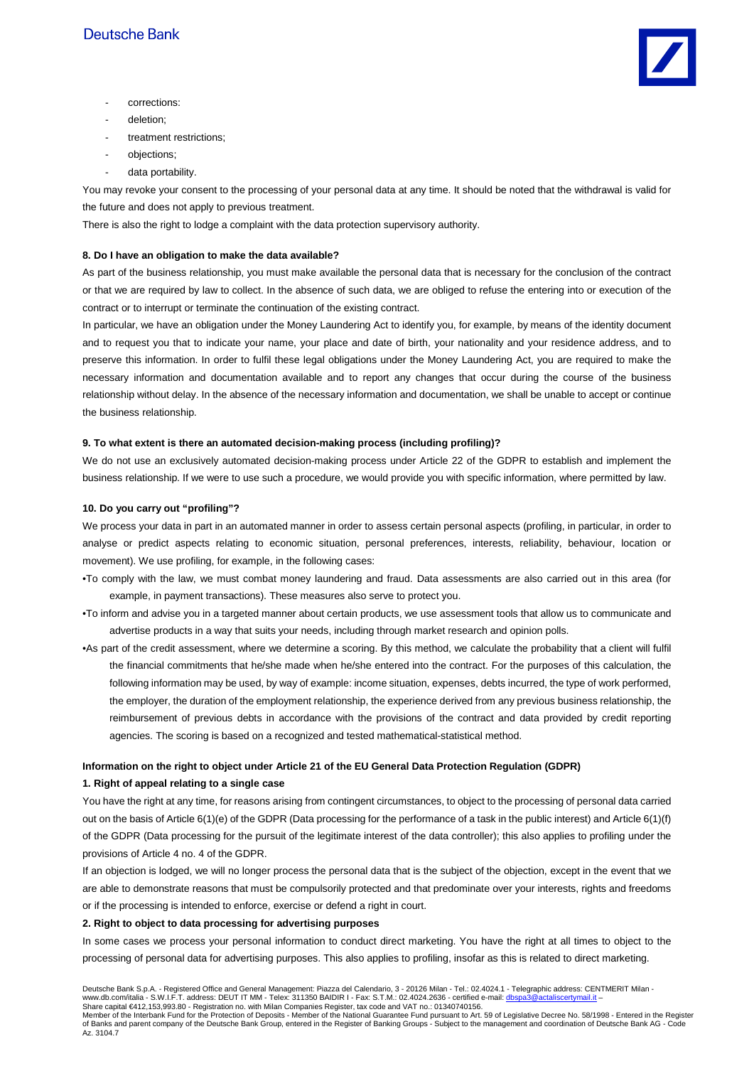

- corrections:
- deletion;
- treatment restrictions;
- objections:
- data portability.

You may revoke your consent to the processing of your personal data at any time. It should be noted that the withdrawal is valid for the future and does not apply to previous treatment.

There is also the right to lodge a complaint with the data protection supervisory authority.

## **8. Do I have an obligation to make the data available?**

As part of the business relationship, you must make available the personal data that is necessary for the conclusion of the contract or that we are required by law to collect. In the absence of such data, we are obliged to refuse the entering into or execution of the contract or to interrupt or terminate the continuation of the existing contract.

In particular, we have an obligation under the Money Laundering Act to identify you, for example, by means of the identity document and to request you that to indicate your name, your place and date of birth, your nationality and your residence address, and to preserve this information. In order to fulfil these legal obligations under the Money Laundering Act, you are required to make the necessary information and documentation available and to report any changes that occur during the course of the business relationship without delay. In the absence of the necessary information and documentation, we shall be unable to accept or continue the business relationship.

#### **9. To what extent is there an automated decision-making process (including profiling)?**

We do not use an exclusively automated decision-making process under Article 22 of the GDPR to establish and implement the business relationship. If we were to use such a procedure, we would provide you with specific information, where permitted by law.

### **10. Do you carry out "profiling"?**

We process your data in part in an automated manner in order to assess certain personal aspects (profiling, in particular, in order to analyse or predict aspects relating to economic situation, personal preferences, interests, reliability, behaviour, location or movement). We use profiling, for example, in the following cases:

- •To comply with the law, we must combat money laundering and fraud. Data assessments are also carried out in this area (for example, in payment transactions). These measures also serve to protect you.
- •To inform and advise you in a targeted manner about certain products, we use assessment tools that allow us to communicate and advertise products in a way that suits your needs, including through market research and opinion polls.
- •As part of the credit assessment, where we determine a scoring. By this method, we calculate the probability that a client will fulfil the financial commitments that he/she made when he/she entered into the contract. For the purposes of this calculation, the following information may be used, by way of example: income situation, expenses, debts incurred, the type of work performed, the employer, the duration of the employment relationship, the experience derived from any previous business relationship, the reimbursement of previous debts in accordance with the provisions of the contract and data provided by credit reporting agencies. The scoring is based on a recognized and tested mathematical-statistical method.

# **Information on the right to object under Article 21 of the EU General Data Protection Regulation (GDPR)**

# **1. Right of appeal relating to a single case**

You have the right at any time, for reasons arising from contingent circumstances, to object to the processing of personal data carried out on the basis of Article 6(1)(e) of the GDPR (Data processing for the performance of a task in the public interest) and Article 6(1)(f) of the GDPR (Data processing for the pursuit of the legitimate interest of the data controller); this also applies to profiling under the provisions of Article 4 no. 4 of the GDPR.

If an objection is lodged, we will no longer process the personal data that is the subject of the objection, except in the event that we are able to demonstrate reasons that must be compulsorily protected and that predominate over your interests, rights and freedoms or if the processing is intended to enforce, exercise or defend a right in court.

#### **2. Right to object to data processing for advertising purposes**

In some cases we process your personal information to conduct direct marketing. You have the right at all times to object to the processing of personal data for advertising purposes. This also applies to profiling, insofar as this is related to direct marketing.

Member of the Interbank Fund for the Protection of Deposits - Member of the National Guarantee Fund pursuant to Art. 59 of Legislative Decree No. 58/1998 - Entered in the Register of Banks and parent company of the Deutsche Bank Group, entered in the Register of Banking Groups - Subject to the management and coordination of Deutsche Bank AG - Code Az. 3104.7